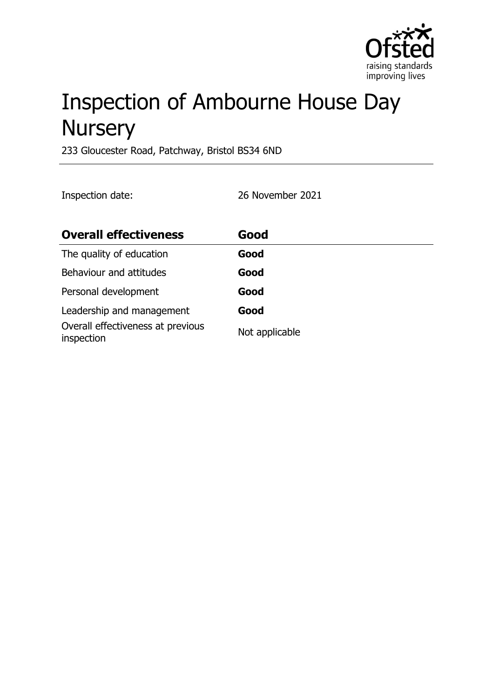

# Inspection of Ambourne House Day **Nursery**

233 Gloucester Road, Patchway, Bristol BS34 6ND

Inspection date: 26 November 2021

| <b>Overall effectiveness</b>                    | Good           |
|-------------------------------------------------|----------------|
| The quality of education                        | Good           |
| Behaviour and attitudes                         | Good           |
| Personal development                            | Good           |
| Leadership and management                       | Good           |
| Overall effectiveness at previous<br>inspection | Not applicable |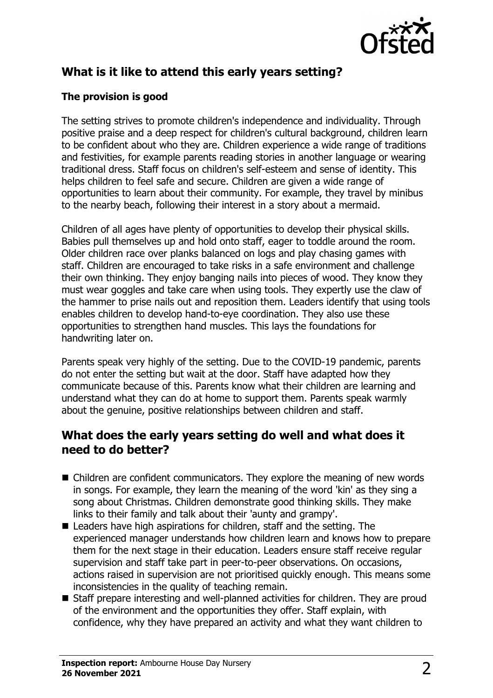

# **What is it like to attend this early years setting?**

#### **The provision is good**

The setting strives to promote children's independence and individuality. Through positive praise and a deep respect for children's cultural background, children learn to be confident about who they are. Children experience a wide range of traditions and festivities, for example parents reading stories in another language or wearing traditional dress. Staff focus on children's self-esteem and sense of identity. This helps children to feel safe and secure. Children are given a wide range of opportunities to learn about their community. For example, they travel by minibus to the nearby beach, following their interest in a story about a mermaid.

Children of all ages have plenty of opportunities to develop their physical skills. Babies pull themselves up and hold onto staff, eager to toddle around the room. Older children race over planks balanced on logs and play chasing games with staff. Children are encouraged to take risks in a safe environment and challenge their own thinking. They enjoy banging nails into pieces of wood. They know they must wear goggles and take care when using tools. They expertly use the claw of the hammer to prise nails out and reposition them. Leaders identify that using tools enables children to develop hand-to-eye coordination. They also use these opportunities to strengthen hand muscles. This lays the foundations for handwriting later on.

Parents speak very highly of the setting. Due to the COVID-19 pandemic, parents do not enter the setting but wait at the door. Staff have adapted how they communicate because of this. Parents know what their children are learning and understand what they can do at home to support them. Parents speak warmly about the genuine, positive relationships between children and staff.

## **What does the early years setting do well and what does it need to do better?**

- $\blacksquare$  Children are confident communicators. They explore the meaning of new words in songs. For example, they learn the meaning of the word 'kin' as they sing a song about Christmas. Children demonstrate good thinking skills. They make links to their family and talk about their 'aunty and grampy'.
- $\blacksquare$  Leaders have high aspirations for children, staff and the setting. The experienced manager understands how children learn and knows how to prepare them for the next stage in their education. Leaders ensure staff receive regular supervision and staff take part in peer-to-peer observations. On occasions, actions raised in supervision are not prioritised quickly enough. This means some inconsistencies in the quality of teaching remain.
- $\blacksquare$  Staff prepare interesting and well-planned activities for children. They are proud of the environment and the opportunities they offer. Staff explain, with confidence, why they have prepared an activity and what they want children to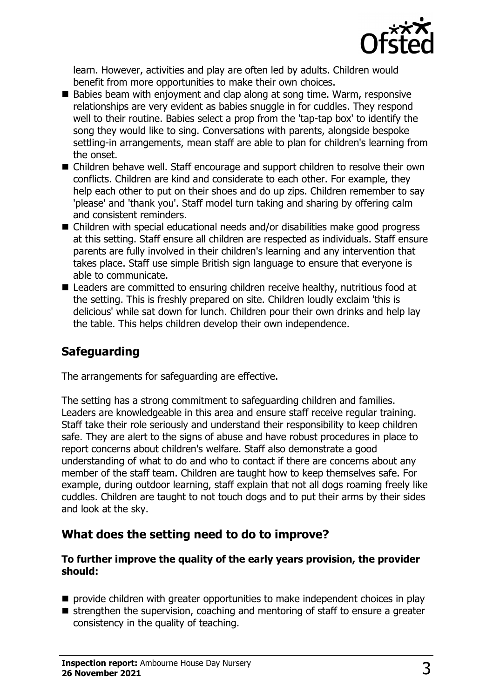

learn. However, activities and play are often led by adults. Children would benefit from more opportunities to make their own choices.

- Babies beam with enjoyment and clap along at song time. Warm, responsive relationships are very evident as babies snuggle in for cuddles. They respond well to their routine. Babies select a prop from the 'tap-tap box' to identify the song they would like to sing. Conversations with parents, alongside bespoke settling-in arrangements, mean staff are able to plan for children's learning from the onset.
- Children behave well. Staff encourage and support children to resolve their own conflicts. Children are kind and considerate to each other. For example, they help each other to put on their shoes and do up zips. Children remember to say 'please' and 'thank you'. Staff model turn taking and sharing by offering calm and consistent reminders.
- $\blacksquare$  Children with special educational needs and/or disabilities make good progress at this setting. Staff ensure all children are respected as individuals. Staff ensure parents are fully involved in their children's learning and any intervention that takes place. Staff use simple British sign language to ensure that everyone is able to communicate.
- $\blacksquare$  Leaders are committed to ensuring children receive healthy, nutritious food at the setting. This is freshly prepared on site. Children loudly exclaim 'this is delicious' while sat down for lunch. Children pour their own drinks and help lay the table. This helps children develop their own independence.

# **Safeguarding**

The arrangements for safeguarding are effective.

The setting has a strong commitment to safeguarding children and families. Leaders are knowledgeable in this area and ensure staff receive regular training. Staff take their role seriously and understand their responsibility to keep children safe. They are alert to the signs of abuse and have robust procedures in place to report concerns about children's welfare. Staff also demonstrate a good understanding of what to do and who to contact if there are concerns about any member of the staff team. Children are taught how to keep themselves safe. For example, during outdoor learning, staff explain that not all dogs roaming freely like cuddles. Children are taught to not touch dogs and to put their arms by their sides and look at the sky.

## **What does the setting need to do to improve?**

#### **To further improve the quality of the early years provision, the provider should:**

- $\blacksquare$  provide children with greater opportunities to make independent choices in play
- $\blacksquare$  strengthen the supervision, coaching and mentoring of staff to ensure a greater consistency in the quality of teaching.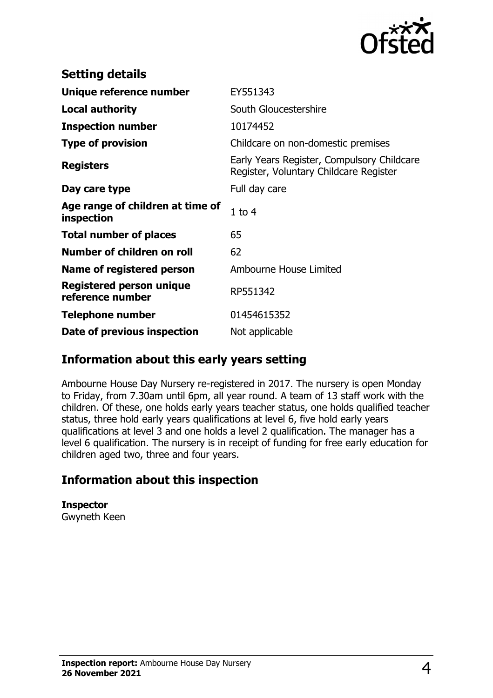

| <b>Setting details</b>                         |                                                                                      |
|------------------------------------------------|--------------------------------------------------------------------------------------|
| Unique reference number                        | EY551343                                                                             |
| <b>Local authority</b>                         | South Gloucestershire                                                                |
| <b>Inspection number</b>                       | 10174452                                                                             |
| <b>Type of provision</b>                       | Childcare on non-domestic premises                                                   |
| <b>Registers</b>                               | Early Years Register, Compulsory Childcare<br>Register, Voluntary Childcare Register |
| Day care type                                  | Full day care                                                                        |
| Age range of children at time of<br>inspection | $1$ to $4$                                                                           |
| <b>Total number of places</b>                  | 65                                                                                   |
| Number of children on roll                     | 62                                                                                   |
| Name of registered person                      | Ambourne House Limited                                                               |
| Registered person unique<br>reference number   | RP551342                                                                             |
| <b>Telephone number</b>                        | 01454615352                                                                          |
| Date of previous inspection                    | Not applicable                                                                       |

## **Information about this early years setting**

Ambourne House Day Nursery re-registered in 2017. The nursery is open Monday to Friday, from 7.30am until 6pm, all year round. A team of 13 staff work with the children. Of these, one holds early years teacher status, one holds qualified teacher status, three hold early years qualifications at level 6, five hold early years qualifications at level 3 and one holds a level 2 qualification. The manager has a level 6 qualification. The nursery is in receipt of funding for free early education for children aged two, three and four years.

# **Information about this inspection**

**Inspector** Gwyneth Keen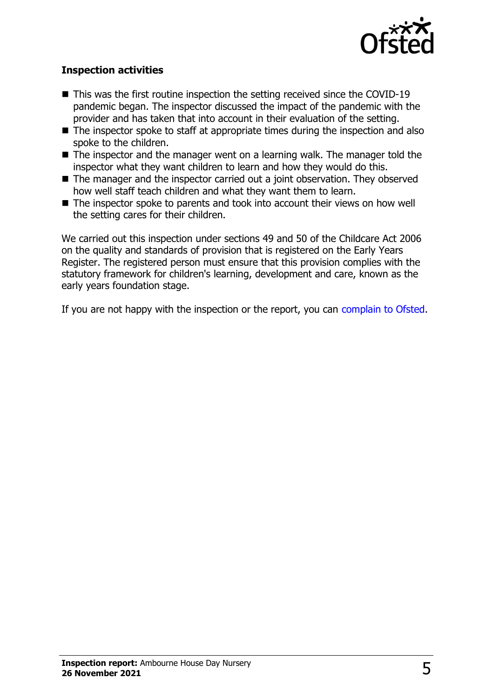

#### **Inspection activities**

- $\blacksquare$  This was the first routine inspection the setting received since the COVID-19 pandemic began. The inspector discussed the impact of the pandemic with the provider and has taken that into account in their evaluation of the setting.
- $\blacksquare$  The inspector spoke to staff at appropriate times during the inspection and also spoke to the children.
- $\blacksquare$  The inspector and the manager went on a learning walk. The manager told the inspector what they want children to learn and how they would do this.
- $\blacksquare$  The manager and the inspector carried out a joint observation. They observed how well staff teach children and what they want them to learn.
- $\blacksquare$  The inspector spoke to parents and took into account their views on how well the setting cares for their children.

We carried out this inspection under sections 49 and 50 of the Childcare Act 2006 on the quality and standards of provision that is registered on the Early Years Register. The registered person must ensure that this provision complies with the statutory framework for children's learning, development and care, known as the early years foundation stage.

If you are not happy with the inspection or the report, you can [complain to Ofsted](http://www.gov.uk/complain-ofsted-report).